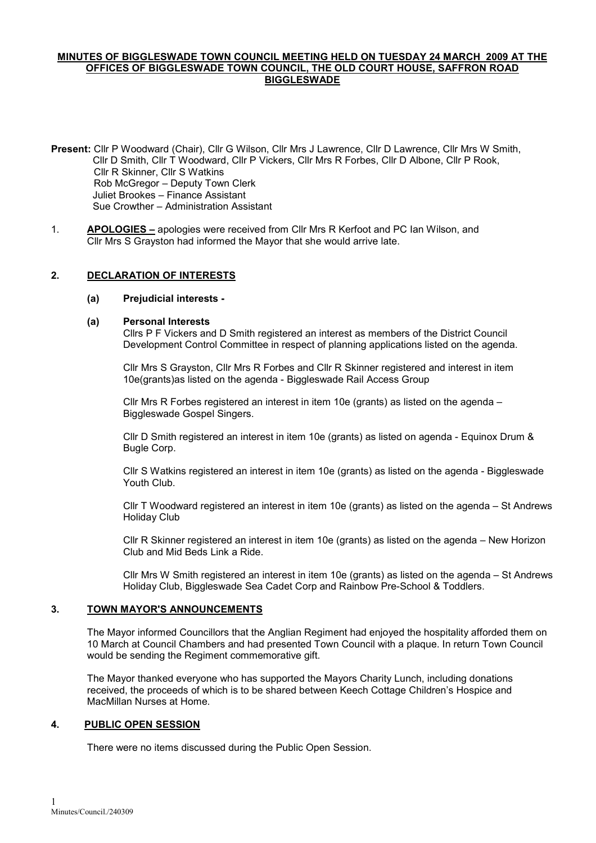## MINUTES OF BIGGLESWADE TOWN COUNCIL MEETING HELD ON TUESDAY 24 MARCH 2009 AT THE OFFICES OF BIGGLESWADE TOWN COUNCIL, THE OLD COURT HOUSE, SAFFRON ROAD BIGGLESWADE

Present: Cllr P Woodward (Chair), Cllr G Wilson, Cllr Mrs J Lawrence, Cllr D Lawrence, Cllr Mrs W Smith, Cllr D Smith, Cllr T Woodward, Cllr P Vickers, Cllr Mrs R Forbes, Cllr D Albone, Cllr P Rook, Cllr R Skinner, Cllr S Watkins Rob McGregor – Deputy Town Clerk Juliet Brookes – Finance Assistant Sue Crowther – Administration Assistant

1. APOLOGIES – apologies were received from Cllr Mrs R Kerfoot and PC Ian Wilson, and Cllr Mrs S Grayston had informed the Mayor that she would arrive late.

## 2. DECLARATION OF INTERESTS

#### (a) Prejudicial interests -

#### (a) Personal Interests

Cllrs P F Vickers and D Smith registered an interest as members of the District Council Development Control Committee in respect of planning applications listed on the agenda.

Cllr Mrs S Grayston, Cllr Mrs R Forbes and Cllr R Skinner registered and interest in item 10e(grants)as listed on the agenda - Biggleswade Rail Access Group

Cllr Mrs R Forbes registered an interest in item 10e (grants) as listed on the agenda  $-$ Biggleswade Gospel Singers.

Cllr D Smith registered an interest in item 10e (grants) as listed on agenda - Equinox Drum & Bugle Corp.

Cllr S Watkins registered an interest in item 10e (grants) as listed on the agenda - Biggleswade Youth Club.

Cllr T Woodward registered an interest in item 10e (grants) as listed on the agenda – St Andrews Holiday Club

Cllr R Skinner registered an interest in item 10e (grants) as listed on the agenda – New Horizon Club and Mid Beds Link a Ride.

Cllr Mrs W Smith registered an interest in item 10e (grants) as listed on the agenda – St Andrews Holiday Club, Biggleswade Sea Cadet Corp and Rainbow Pre-School & Toddlers.

#### 3. TOWN MAYOR'S ANNOUNCEMENTS

The Mayor informed Councillors that the Anglian Regiment had enjoyed the hospitality afforded them on 10 March at Council Chambers and had presented Town Council with a plaque. In return Town Council would be sending the Regiment commemorative gift.

The Mayor thanked everyone who has supported the Mayors Charity Lunch, including donations received, the proceeds of which is to be shared between Keech Cottage Children's Hospice and MacMillan Nurses at Home.

#### 4. PUBLIC OPEN SESSION

There were no items discussed during the Public Open Session.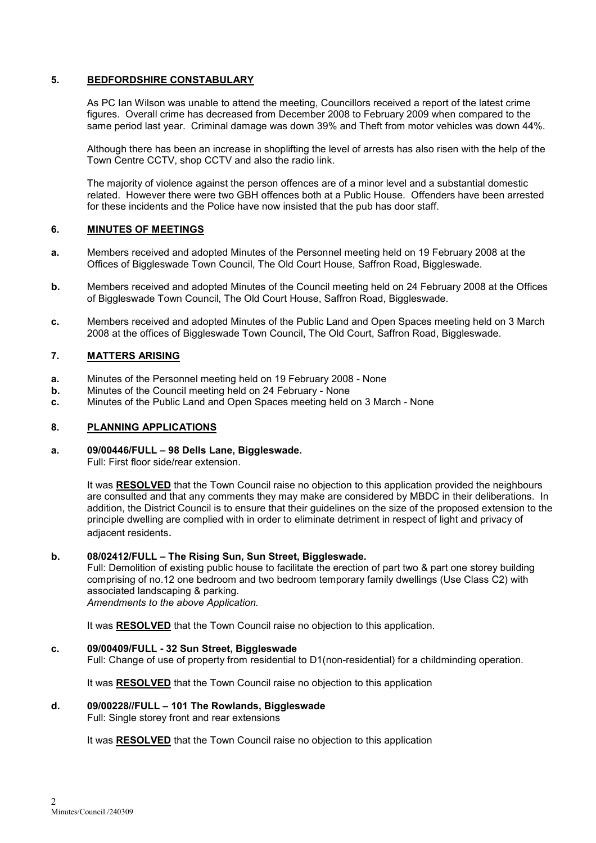# 5. BEDFORDSHIRE CONSTABULARY

As PC Ian Wilson was unable to attend the meeting, Councillors received a report of the latest crime figures. Overall crime has decreased from December 2008 to February 2009 when compared to the same period last year. Criminal damage was down 39% and Theft from motor vehicles was down 44%.

Although there has been an increase in shoplifting the level of arrests has also risen with the help of the Town Centre CCTV, shop CCTV and also the radio link.

The majority of violence against the person offences are of a minor level and a substantial domestic related. However there were two GBH offences both at a Public House. Offenders have been arrested for these incidents and the Police have now insisted that the pub has door staff.

# 6. MINUTES OF MEETINGS

- a. Members received and adopted Minutes of the Personnel meeting held on 19 February 2008 at the Offices of Biggleswade Town Council, The Old Court House, Saffron Road, Biggleswade.
- b. Members received and adopted Minutes of the Council meeting held on 24 February 2008 at the Offices of Biggleswade Town Council, The Old Court House, Saffron Road, Biggleswade.
- c. Members received and adopted Minutes of the Public Land and Open Spaces meeting held on 3 March 2008 at the offices of Biggleswade Town Council, The Old Court, Saffron Road, Biggleswade.

# 7. MATTERS ARISING

- a. Minutes of the Personnel meeting held on 19 February 2008 None
- b. Minutes of the Council meeting held on 24 February None
- c. Minutes of the Public Land and Open Spaces meeting held on 3 March None

# 8. PLANNING APPLICATIONS

# a. 09/00446/FULL – 98 Dells Lane, Biggleswade.

Full: First floor side/rear extension.

It was RESOLVED that the Town Council raise no objection to this application provided the neighbours are consulted and that any comments they may make are considered by MBDC in their deliberations. In addition, the District Council is to ensure that their guidelines on the size of the proposed extension to the principle dwelling are complied with in order to eliminate detriment in respect of light and privacy of adjacent residents.

# b. 08/02412/FULL – The Rising Sun, Sun Street, Biggleswade.

Full: Demolition of existing public house to facilitate the erection of part two & part one storey building comprising of no.12 one bedroom and two bedroom temporary family dwellings (Use Class C2) with associated landscaping & parking. Amendments to the above Application.

It was RESOLVED that the Town Council raise no objection to this application.

#### c. 09/00409/FULL - 32 Sun Street, Biggleswade

Full: Change of use of property from residential to D1(non-residential) for a childminding operation.

It was RESOLVED that the Town Council raise no objection to this application

# d. 09/00228//FULL – 101 The Rowlands, Biggleswade

Full: Single storey front and rear extensions

It was RESOLVED that the Town Council raise no objection to this application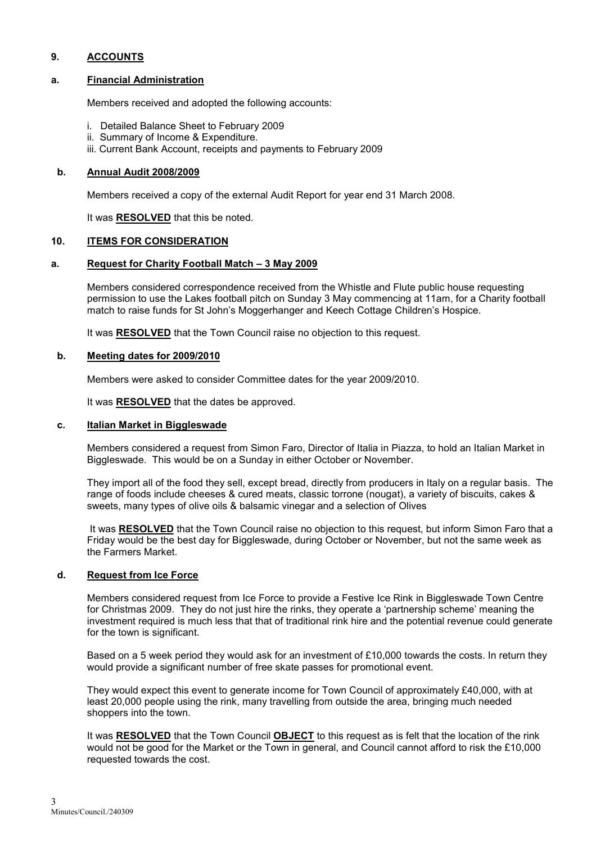# 9. ACCOUNTS

## a. Financial Administration

Members received and adopted the following accounts:

- i. Detailed Balance Sheet to February 2009
- ii. Summary of Income & Expenditure.
- iii. Current Bank Account, receipts and payments to February 2009

#### b. Annual Audit 2008/2009

Members received a copy of the external Audit Report for year end 31 March 2008.

It was RESOLVED that this be noted.

## 10. ITEMS FOR CONSIDERATION

## a. Request for Charity Football Match – 3 May 2009

Members considered correspondence received from the Whistle and Flute public house requesting permission to use the Lakes football pitch on Sunday 3 May commencing at 11am, for a Charity football match to raise funds for St John's Moggerhanger and Keech Cottage Children's Hospice.

It was RESOLVED that the Town Council raise no objection to this request.

## b. Meeting dates for 2009/2010

Members were asked to consider Committee dates for the year 2009/2010.

It was RESOLVED that the dates be approved.

#### c. Italian Market in Biggleswade

Members considered a request from Simon Faro, Director of Italia in Piazza, to hold an Italian Market in Biggleswade. This would be on a Sunday in either October or November.

They import all of the food they sell, except bread, directly from producers in Italy on a regular basis. The range of foods include cheeses & cured meats, classic torrone (nougat), a variety of biscuits, cakes & sweets, many types of olive oils & balsamic vinegar and a selection of Olives

It was RESOLVED that the Town Council raise no objection to this request, but inform Simon Faro that a Friday would be the best day for Biggleswade, during October or November, but not the same week as the Farmers Market.

# d. Request from Ice Force

 Members considered request from Ice Force to provide a Festive Ice Rink in Biggleswade Town Centre for Christmas 2009. They do not just hire the rinks, they operate a 'partnership scheme' meaning the investment required is much less that that of traditional rink hire and the potential revenue could generate for the town is significant.

 Based on a 5 week period they would ask for an investment of £10,000 towards the costs. In return they would provide a significant number of free skate passes for promotional event.

 They would expect this event to generate income for Town Council of approximately £40,000, with at least 20,000 people using the rink, many travelling from outside the area, bringing much needed shoppers into the town.

It was RESOLVED that the Town Council OBJECT to this request as is felt that the location of the rink would not be good for the Market or the Town in general, and Council cannot afford to risk the £10,000 requested towards the cost.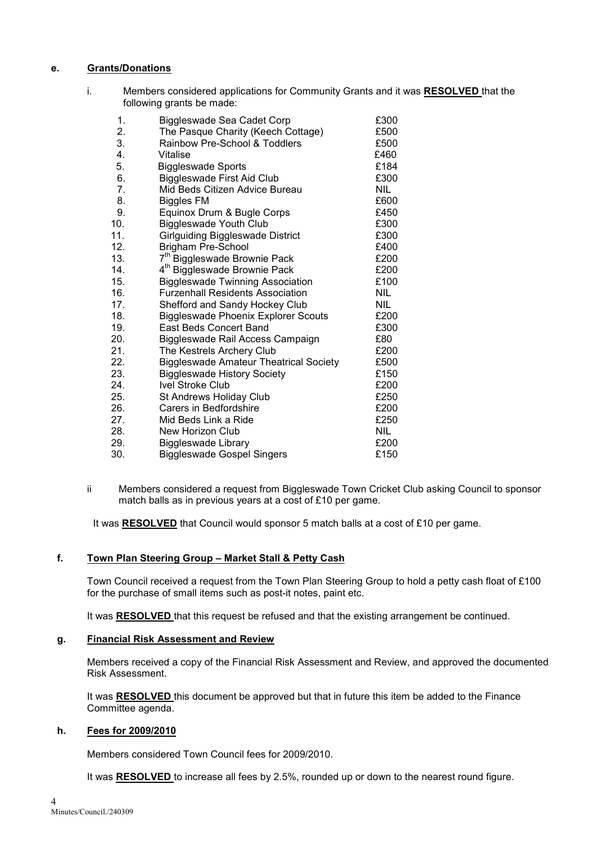# e. Grants/Donations

i. Members considered applications for Community Grants and it was RESOLVED that the following grants be made:

| 1.  | Biggleswade Sea Cadet Corp                    | £300       |
|-----|-----------------------------------------------|------------|
| 2.  | The Pasque Charity (Keech Cottage)            | £500       |
| 3.  | Rainbow Pre-School & Toddlers                 | £500       |
| 4.  | Vitalise                                      | £460       |
| 5.  | <b>Biggleswade Sports</b>                     | £184       |
| 6.  | <b>Biggleswade First Aid Club</b>             | £300       |
| 7.  | Mid Beds Citizen Advice Bureau                | <b>NIL</b> |
| 8.  | <b>Biggles FM</b>                             | £600       |
| 9.  | Equinox Drum & Bugle Corps                    | £450       |
| 10. | <b>Biggleswade Youth Club</b>                 | £300       |
| 11. | Girlguiding Biggleswade District              | £300       |
| 12. | <b>Brigham Pre-School</b>                     | £400       |
| 13. | 7 <sup>th</sup> Biggleswade Brownie Pack      | £200       |
| 14. | 4 <sup>th</sup> Biggleswade Brownie Pack      | £200       |
| 15. | <b>Biggleswade Twinning Association</b>       | £100       |
| 16. | <b>Furzenhall Residents Association</b>       | NIL        |
| 17. | Shefford and Sandy Hockey Club                | NIL.       |
| 18. | <b>Biggleswade Phoenix Explorer Scouts</b>    | £200       |
| 19. | <b>East Beds Concert Band</b>                 | £300       |
| 20. | Biggleswade Rail Access Campaign              | £80        |
| 21. | The Kestrels Archery Club                     | £200       |
| 22. | <b>Biggleswade Amateur Theatrical Society</b> | £500       |
| 23. | <b>Biggleswade History Society</b>            | £150       |
| 24. | <b>Ivel Stroke Club</b>                       | £200       |
| 25. | St Andrews Holiday Club                       | £250       |
| 26. | Carers in Bedfordshire                        | £200       |
| 27. | Mid Beds Link a Ride                          | £250       |
| 28. | New Horizon Club                              | NIL        |
| 29. | <b>Biggleswade Library</b>                    | £200       |
| 30. | <b>Biggleswade Gospel Singers</b>             | £150       |

ii Members considered a request from Biggleswade Town Cricket Club asking Council to sponsor match balls as in previous years at a cost of £10 per game.

It was RESOLVED that Council would sponsor 5 match balls at a cost of  $£10$  per game.

# f. Town Plan Steering Group – Market Stall & Petty Cash

Town Council received a request from the Town Plan Steering Group to hold a petty cash float of £100 for the purchase of small items such as post-it notes, paint etc.

It was RESOLVED that this request be refused and that the existing arrangement be continued.

#### g. Financial Risk Assessment and Review

Members received a copy of the Financial Risk Assessment and Review, and approved the documented Risk Assessment.

It was RESOLVED this document be approved but that in future this item be added to the Finance Committee agenda.

#### h. Fees for 2009/2010

Members considered Town Council fees for 2009/2010.

It was RESOLVED to increase all fees by 2.5%, rounded up or down to the nearest round figure.